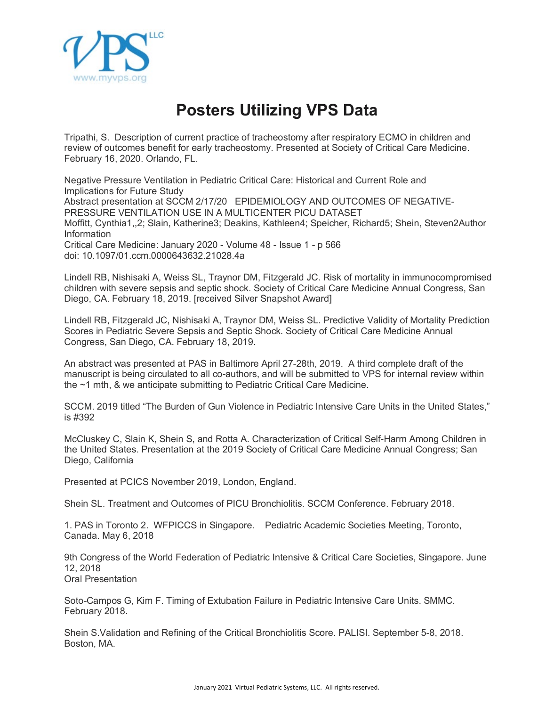

## **Posters Utilizing VPS Data**

Tripathi, S. Description of current practice of tracheostomy after respiratory ECMO in children and review of outcomes benefit for early tracheostomy. Presented at Society of Critical Care Medicine. February 16, 2020. Orlando, FL.

Negative Pressure Ventilation in Pediatric Critical Care: Historical and Current Role and Implications for Future Study Abstract presentation at SCCM 2/17/20 EPIDEMIOLOGY AND OUTCOMES OF NEGATIVE-PRESSURE VENTILATION USE IN A MULTICENTER PICU DATASET Moffitt, Cynthia1,,2; Slain, Katherine3; Deakins, Kathleen4; Speicher, Richard5; Shein, Steven2Author Information Critical Care Medicine: January 2020 - Volume 48 - Issue 1 - p 566 doi: 10.1097/01.ccm.0000643632.21028.4a

Lindell RB, Nishisaki A, Weiss SL, Traynor DM, Fitzgerald JC. Risk of mortality in immunocompromised children with severe sepsis and septic shock. Society of Critical Care Medicine Annual Congress, San Diego, CA. February 18, 2019. [received Silver Snapshot Award]

Lindell RB, Fitzgerald JC, Nishisaki A, Traynor DM, Weiss SL. Predictive Validity of Mortality Prediction Scores in Pediatric Severe Sepsis and Septic Shock. Society of Critical Care Medicine Annual Congress, San Diego, CA. February 18, 2019.

An abstract was presented at PAS in Baltimore April 27-28th, 2019. A third complete draft of the manuscript is being circulated to all co-authors, and will be submitted to VPS for internal review within the ~1 mth, & we anticipate submitting to Pediatric Critical Care Medicine.

SCCM. 2019 titled "The Burden of Gun Violence in Pediatric Intensive Care Units in the United States," is #392

McCluskey C, Slain K, Shein S, and Rotta A. Characterization of Critical Self-Harm Among Children in the United States. Presentation at the 2019 Society of Critical Care Medicine Annual Congress; San Diego, California

Presented at PCICS November 2019, London, England.

Shein SL. Treatment and Outcomes of PICU Bronchiolitis. SCCM Conference. February 2018.

1. PAS in Toronto 2. WFPICCS in Singapore. Pediatric Academic Societies Meeting, Toronto, Canada. May 6, 2018

9th Congress of the World Federation of Pediatric Intensive & Critical Care Societies, Singapore. June 12, 2018 Oral Presentation

Soto-Campos G, Kim F. Timing of Extubation Failure in Pediatric Intensive Care Units. SMMC. February 2018.

Shein S.Validation and Refining of the Critical Bronchiolitis Score. PALISI. September 5-8, 2018. Boston, MA.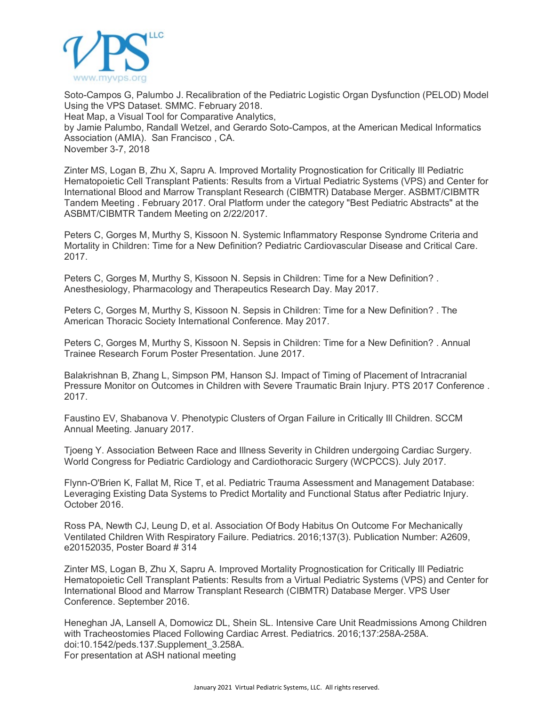

Soto-Campos G, Palumbo J. Recalibration of the Pediatric Logistic Organ Dysfunction (PELOD) Model Using the VPS Dataset. SMMC. February 2018. Heat Map, a Visual Tool for Comparative Analytics, by Jamie Palumbo, Randall Wetzel, and Gerardo Soto-Campos, at the American Medical Informatics Association (AMIA). San Francisco , CA. November 3-7, 2018

Zinter MS, Logan B, Zhu X, Sapru A. Improved Mortality Prognostication for Critically Ill Pediatric Hematopoietic Cell Transplant Patients: Results from a Virtual Pediatric Systems (VPS) and Center for International Blood and Marrow Transplant Research (CIBMTR) Database Merger. ASBMT/CIBMTR Tandem Meeting . February 2017. Oral Platform under the category "Best Pediatric Abstracts" at the ASBMT/CIBMTR Tandem Meeting on 2/22/2017.

Peters C, Gorges M, Murthy S, Kissoon N. Systemic Inflammatory Response Syndrome Criteria and Mortality in Children: Time for a New Definition? Pediatric Cardiovascular Disease and Critical Care. 2017.

Peters C, Gorges M, Murthy S, Kissoon N. Sepsis in Children: Time for a New Definition? . Anesthesiology, Pharmacology and Therapeutics Research Day. May 2017.

Peters C, Gorges M, Murthy S, Kissoon N. Sepsis in Children: Time for a New Definition? . The American Thoracic Society International Conference. May 2017.

Peters C, Gorges M, Murthy S, Kissoon N. Sepsis in Children: Time for a New Definition? . Annual Trainee Research Forum Poster Presentation. June 2017.

Balakrishnan B, Zhang L, Simpson PM, Hanson SJ. Impact of Timing of Placement of Intracranial Pressure Monitor on Outcomes in Children with Severe Traumatic Brain Injury. PTS 2017 Conference . 2017.

Faustino EV, Shabanova V. Phenotypic Clusters of Organ Failure in Critically Ill Children. SCCM Annual Meeting. January 2017.

Tjoeng Y. Association Between Race and Illness Severity in Children undergoing Cardiac Surgery. World Congress for Pediatric Cardiology and Cardiothoracic Surgery (WCPCCS). July 2017.

Flynn-O'Brien K, Fallat M, Rice T, et al. Pediatric Trauma Assessment and Management Database: Leveraging Existing Data Systems to Predict Mortality and Functional Status after Pediatric Injury. October 2016.

Ross PA, Newth CJ, Leung D, et al. Association Of Body Habitus On Outcome For Mechanically Ventilated Children With Respiratory Failure. Pediatrics. 2016;137(3). Publication Number: A2609, e20152035, Poster Board # 314

Zinter MS, Logan B, Zhu X, Sapru A. Improved Mortality Prognostication for Critically Ill Pediatric Hematopoietic Cell Transplant Patients: Results from a Virtual Pediatric Systems (VPS) and Center for International Blood and Marrow Transplant Research (CIBMTR) Database Merger. VPS User Conference. September 2016.

Heneghan JA, Lansell A, Domowicz DL, Shein SL. Intensive Care Unit Readmissions Among Children with Tracheostomies Placed Following Cardiac Arrest. Pediatrics. 2016;137:258A-258A. doi:10.1542/peds.137.Supplement\_3.258A. For presentation at ASH national meeting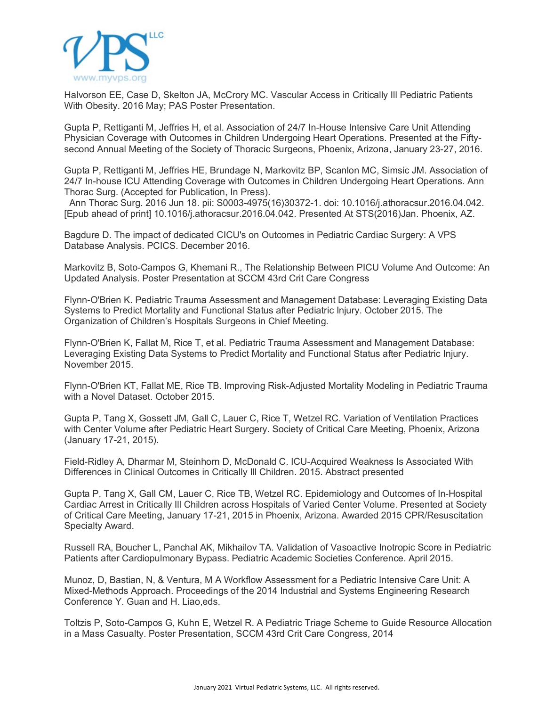

Halvorson EE, Case D, Skelton JA, McCrory MC. Vascular Access in Critically Ill Pediatric Patients With Obesity. 2016 May; PAS Poster Presentation.

Gupta P, Rettiganti M, Jeffries H, et al. Association of 24/7 In-House Intensive Care Unit Attending Physician Coverage with Outcomes in Children Undergoing Heart Operations. Presented at the Fiftysecond Annual Meeting of the Society of Thoracic Surgeons, Phoenix, Arizona, January 23-27, 2016.

Gupta P, Rettiganti M, Jeffries HE, Brundage N, Markovitz BP, Scanlon MC, Simsic JM. Association of 24/7 In-house ICU Attending Coverage with Outcomes in Children Undergoing Heart Operations. Ann Thorac Surg. (Accepted for Publication, In Press).

Ann Thorac Surg. 2016 Jun 18. pii: S0003-4975(16)30372-1. doi: 10.1016/j.athoracsur.2016.04.042. [Epub ahead of print] 10.1016/j.athoracsur.2016.04.042. Presented At STS(2016)Jan. Phoenix, AZ.

Bagdure D. The impact of dedicated CICU's on Outcomes in Pediatric Cardiac Surgery: A VPS Database Analysis. PCICS. December 2016.

Markovitz B, Soto-Campos G, Khemani R., The Relationship Between PICU Volume And Outcome: An Updated Analysis. Poster Presentation at SCCM 43rd Crit Care Congress

Flynn-O'Brien K. Pediatric Trauma Assessment and Management Database: Leveraging Existing Data Systems to Predict Mortality and Functional Status after Pediatric Injury. October 2015. The Organization of Children's Hospitals Surgeons in Chief Meeting.

Flynn-O'Brien K, Fallat M, Rice T, et al. Pediatric Trauma Assessment and Management Database: Leveraging Existing Data Systems to Predict Mortality and Functional Status after Pediatric Injury. November 2015.

Flynn-O'Brien KT, Fallat ME, Rice TB. Improving Risk-Adjusted Mortality Modeling in Pediatric Trauma with a Novel Dataset. October 2015.

Gupta P, Tang X, Gossett JM, Gall C, Lauer C, Rice T, Wetzel RC. Variation of Ventilation Practices with Center Volume after Pediatric Heart Surgery. Society of Critical Care Meeting, Phoenix, Arizona (January 17-21, 2015).

Field-Ridley A, Dharmar M, Steinhorn D, McDonald C. ICU-Acquired Weakness Is Associated With Differences in Clinical Outcomes in Critically Ill Children. 2015. Abstract presented

Gupta P, Tang X, Gall CM, Lauer C, Rice TB, Wetzel RC. Epidemiology and Outcomes of In-Hospital Cardiac Arrest in Critically Ill Children across Hospitals of Varied Center Volume. Presented at Society of Critical Care Meeting, January 17-21, 2015 in Phoenix, Arizona. Awarded 2015 CPR/Resuscitation Specialty Award.

Russell RA, Boucher L, Panchal AK, Mikhailov TA. Validation of Vasoactive Inotropic Score in Pediatric Patients after Cardiopulmonary Bypass. Pediatric Academic Societies Conference. April 2015.

Munoz, D, Bastian, N, & Ventura, M A Workflow Assessment for a Pediatric Intensive Care Unit: A Mixed-Methods Approach. Proceedings of the 2014 Industrial and Systems Engineering Research Conference Y. Guan and H. Liao,eds.

Toltzis P, Soto-Campos G, Kuhn E, Wetzel R. A Pediatric Triage Scheme to Guide Resource Allocation in a Mass Casualty. Poster Presentation, SCCM 43rd Crit Care Congress, 2014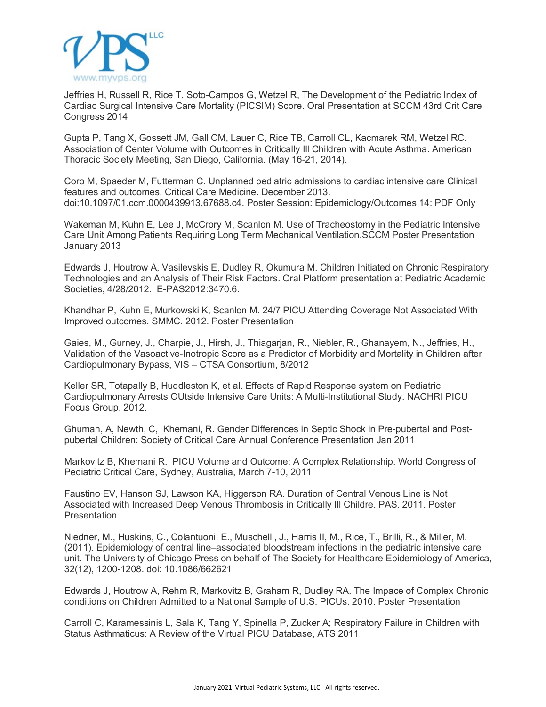

Jeffries H, Russell R, Rice T, Soto-Campos G, Wetzel R, The Development of the Pediatric Index of Cardiac Surgical Intensive Care Mortality (PICSIM) Score. Oral Presentation at SCCM 43rd Crit Care Congress 2014

Gupta P, Tang X, Gossett JM, Gall CM, Lauer C, Rice TB, Carroll CL, Kacmarek RM, Wetzel RC. Association of Center Volume with Outcomes in Critically Ill Children with Acute Asthma. American Thoracic Society Meeting, San Diego, California. (May 16-21, 2014).

Coro M, Spaeder M, Futterman C. Unplanned pediatric admissions to cardiac intensive care Clinical features and outcomes. Critical Care Medicine. December 2013. doi:10.1097/01.ccm.0000439913.67688.c4. Poster Session: Epidemiology/Outcomes 14: PDF Only

Wakeman M, Kuhn E, Lee J, McCrory M, Scanlon M. Use of Tracheostomy in the Pediatric Intensive Care Unit Among Patients Requiring Long Term Mechanical Ventilation.SCCM Poster Presentation January 2013

Edwards J, Houtrow A, Vasilevskis E, Dudley R, Okumura M. Children Initiated on Chronic Respiratory Technologies and an Analysis of Their Risk Factors. Oral Platform presentation at Pediatric Academic Societies, 4/28/2012. E-PAS2012:3470.6.

Khandhar P, Kuhn E, Murkowski K, Scanlon M. 24/7 PICU Attending Coverage Not Associated With Improved outcomes. SMMC. 2012. Poster Presentation

Gaies, M., Gurney, J., Charpie, J., Hirsh, J., Thiagarjan, R., Niebler, R., Ghanayem, N., Jeffries, H., Validation of the Vasoactive-Inotropic Score as a Predictor of Morbidity and Mortality in Children after Cardiopulmonary Bypass, VIS – CTSA Consortium, 8/2012

Keller SR, Totapally B, Huddleston K, et al. Effects of Rapid Response system on Pediatric Cardiopulmonary Arrests OUtside Intensive Care Units: A Multi-Institutional Study. NACHRI PICU Focus Group. 2012.

Ghuman, A, Newth, C, Khemani, R. Gender Differences in Septic Shock in Pre-pubertal and Postpubertal Children: Society of Critical Care Annual Conference Presentation Jan 2011

Markovitz B, Khemani R. PICU Volume and Outcome: A Complex Relationship. World Congress of Pediatric Critical Care, Sydney, Australia, March 7-10, 2011

Faustino EV, Hanson SJ, Lawson KA, Higgerson RA. Duration of Central Venous Line is Not Associated with Increased Deep Venous Thrombosis in Critically Ill Childre. PAS. 2011. Poster **Presentation** 

Niedner, M., Huskins, C., Colantuoni, E., Muschelli, J., Harris II, M., Rice, T., Brilli, R., & Miller, M. (2011). Epidemiology of central line–associated bloodstream infections in the pediatric intensive care unit. The University of Chicago Press on behalf of The Society for Healthcare Epidemiology of America, 32(12), 1200-1208. doi: 10.1086/662621

Edwards J, Houtrow A, Rehm R, Markovitz B, Graham R, Dudley RA. The Impace of Complex Chronic conditions on Children Admitted to a National Sample of U.S. PICUs. 2010. Poster Presentation

Carroll C, Karamessinis L, Sala K, Tang Y, Spinella P, Zucker A; Respiratory Failure in Children with Status Asthmaticus: A Review of the Virtual PICU Database, ATS 2011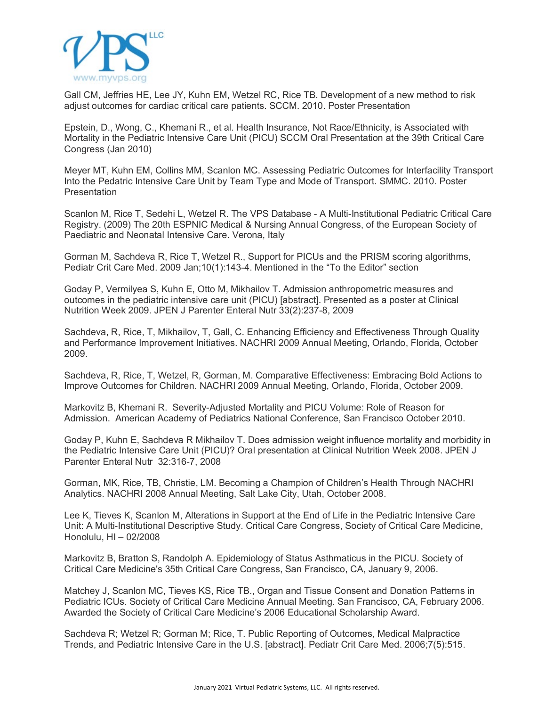

Gall CM, Jeffries HE, Lee JY, Kuhn EM, Wetzel RC, Rice TB. Development of a new method to risk adjust outcomes for cardiac critical care patients. SCCM. 2010. Poster Presentation

Epstein, D., Wong, C., Khemani R., et al. Health Insurance, Not Race/Ethnicity, is Associated with Mortality in the Pediatric Intensive Care Unit (PICU) SCCM Oral Presentation at the 39th Critical Care Congress (Jan 2010)

Meyer MT, Kuhn EM, Collins MM, Scanlon MC. Assessing Pediatric Outcomes for Interfacility Transport Into the Pedatric Intensive Care Unit by Team Type and Mode of Transport. SMMC. 2010. Poster **Presentation** 

Scanlon M, Rice T, Sedehi L, Wetzel R. The VPS Database - A Multi-Institutional Pediatric Critical Care Registry. (2009) The 20th ESPNIC Medical & Nursing Annual Congress, of the European Society of Paediatric and Neonatal Intensive Care. Verona, Italy

Gorman M, Sachdeva R, Rice T, Wetzel R., Support for PICUs and the PRISM scoring algorithms, Pediatr Crit Care Med. 2009 Jan;10(1):143-4. Mentioned in the "To the Editor" section

Goday P, Vermilyea S, Kuhn E, Otto M, Mikhailov T. Admission anthropometric measures and outcomes in the pediatric intensive care unit (PICU) [abstract]. Presented as a poster at Clinical Nutrition Week 2009. JPEN J Parenter Enteral Nutr 33(2):237-8, 2009

Sachdeva, R, Rice, T, Mikhailov, T, Gall, C. Enhancing Efficiency and Effectiveness Through Quality and Performance Improvement Initiatives. NACHRI 2009 Annual Meeting, Orlando, Florida, October 2009.

Sachdeva, R, Rice, T, Wetzel, R, Gorman, M. Comparative Effectiveness: Embracing Bold Actions to Improve Outcomes for Children. NACHRI 2009 Annual Meeting, Orlando, Florida, October 2009.

Markovitz B, Khemani R. Severity-Adjusted Mortality and PICU Volume: Role of Reason for Admission. American Academy of Pediatrics National Conference, San Francisco October 2010.

Goday P, Kuhn E, Sachdeva R Mikhailov T. Does admission weight influence mortality and morbidity in the Pediatric Intensive Care Unit (PICU)? Oral presentation at Clinical Nutrition Week 2008. JPEN J Parenter Enteral Nutr 32:316-7, 2008

Gorman, MK, Rice, TB, Christie, LM. Becoming a Champion of Children's Health Through NACHRI Analytics. NACHRI 2008 Annual Meeting, Salt Lake City, Utah, October 2008.

Lee K, Tieves K, Scanlon M, Alterations in Support at the End of Life in the Pediatric Intensive Care Unit: A Multi-Institutional Descriptive Study. Critical Care Congress, Society of Critical Care Medicine, Honolulu, HI – 02/2008

Markovitz B, Bratton S, Randolph A. Epidemiology of Status Asthmaticus in the PICU. Society of Critical Care Medicine's 35th Critical Care Congress, San Francisco, CA, January 9, 2006.

Matchey J, Scanlon MC, Tieves KS, Rice TB., Organ and Tissue Consent and Donation Patterns in Pediatric ICUs. Society of Critical Care Medicine Annual Meeting. San Francisco, CA, February 2006. Awarded the Society of Critical Care Medicine's 2006 Educational Scholarship Award.

Sachdeva R; Wetzel R; Gorman M; Rice, T. Public Reporting of Outcomes, Medical Malpractice Trends, and Pediatric Intensive Care in the U.S. [abstract]. Pediatr Crit Care Med. 2006;7(5):515.